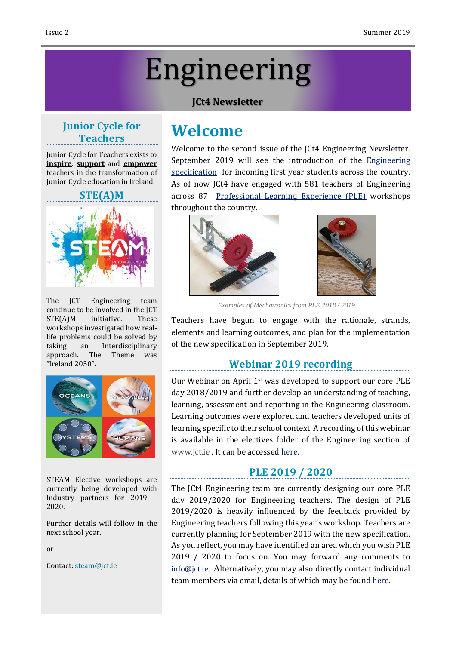# Engineering

#### **JCt4 Newsletter**

# **Junior Cycle for Teachers**

Junior Cycle for Teachers exists to **inspire**, **support** and **empower** teachers in the transformation of Junior Cycle education in Ireland.

#### **STE(A)M**



The JCT Engineering team continue to be involved in the JCT STE(A)M initiative. These workshops investigated how reallife problems could be solved by taking an Interdisciplinary approach. The Theme was "Ireland 2050".



STEAM Elective workshops are currently being developed with Industry partners for 2019 – 2020.

Further details will follow in the next school year.

or

Contact: [steam@jct.ie](mailto:steam@jct.ie)

# **Welcome**

Welcome to the second issue of the JCt4 Engineering Newsletter. September 2019 will see the introduction of the [Engineering](https://www.curriculumonline.ie/getmedia/80a6f0c8-e5a1-439e-a6af-cde49336f735/Engineering-Specification.pdf) [specification](https://www.curriculumonline.ie/getmedia/80a6f0c8-e5a1-439e-a6af-cde49336f735/Engineering-Specification.pdf) for incoming first year students across the country. As of now JCt4 have engaged with 581 teachers of Engineering across 87 [Professional](https://www.jct.ie/technologies/cpd_supports_engineering_cpd_workshops_2018_2019) Learning Experience (PLE) workshops throughout the country.





*Examples of Mechatronics from PLE 2018 / 2019*

Teachers have begun to engage with the rationale, strands, elements and learning outcomes, and plan for the implementation of the new specification in September 2019.

# **Webinar 2019 recording**

Our Webinar on April 1st was developed to support our core PLE day 2018/2019 and further develop an understanding of teaching, learning, assessment and reporting in the Engineering classroom. Learning outcomes were explored and teachers developed units of learning specific to their school context. A recording of this webinar is available in the electives folder of the Engineering section of [www.jct.ie](http://www.jct.ie/) . It can be accessed [here.](https://www.jct.ie/technologies/cpd_supports_engineering_elective_workshops)

# **PLE 2019 / 2020**

The JCt4 Engineering team are currently designing our core PLE day 2019/2020 for Engineering teachers. The design of PLE 2019/2020 is heavily influenced by the feedback provided by Engineering teachers following this year's workshop. Teachers are currently planning for September 2019 with the new specification. As you reflect, you may have identified an area which you wish PLE 2019 / 2020 to focus on. You may forward any comments to [info@jct.ie](mailto:info@jct.ie). Alternatively, you may also directly contact individual team members via email, details of which may be found [here.](https://www.jct.ie/home/meet_the_team)